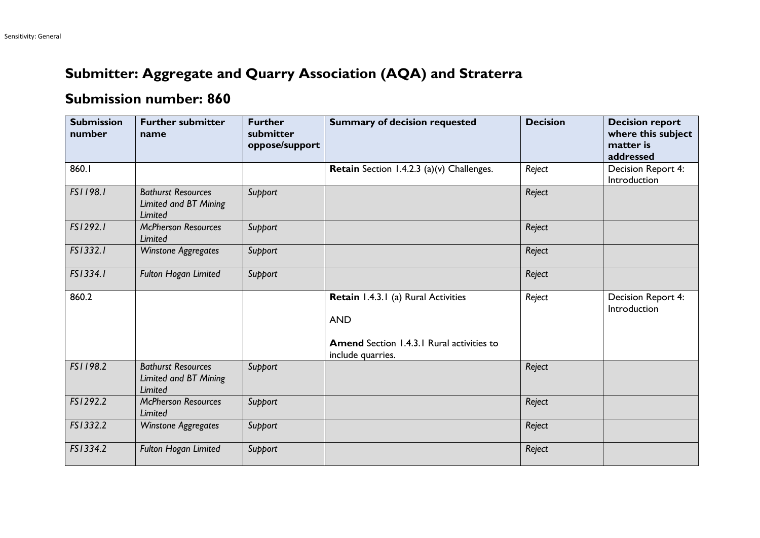## **Submitter: Aggregate and Quarry Association (AQA) and Straterra**

## **Submission number: 860**

| <b>Submission</b><br>number | <b>Further submitter</b><br>name                                     | <b>Further</b><br>submitter<br>oppose/support | <b>Summary of decision requested</b>                                                                                       | <b>Decision</b> | <b>Decision report</b><br>where this subject<br>matter is<br>addressed |
|-----------------------------|----------------------------------------------------------------------|-----------------------------------------------|----------------------------------------------------------------------------------------------------------------------------|-----------------|------------------------------------------------------------------------|
| 860.1                       |                                                                      |                                               | Retain Section 1.4.2.3 (a)(v) Challenges.                                                                                  | Reject          | Decision Report 4:<br>Introduction                                     |
| FS1198.1                    | <b>Bathurst Resources</b><br>Limited and BT Mining<br><b>Limited</b> | Support                                       |                                                                                                                            | Reject          |                                                                        |
| FS1292.1                    | <b>McPherson Resources</b><br><b>Limited</b>                         | Support                                       |                                                                                                                            | Reject          |                                                                        |
| FS1332.1                    | <b>Winstone Aggregates</b>                                           | Support                                       |                                                                                                                            | Reject          |                                                                        |
| FS1334.1                    | Fulton Hogan Limited                                                 | Support                                       |                                                                                                                            | Reject          |                                                                        |
| 860.2                       |                                                                      |                                               | Retain 1.4.3.1 (a) Rural Activities<br><b>AND</b><br><b>Amend</b> Section 1.4.3.1 Rural activities to<br>include quarries. | Reject          | Decision Report 4:<br>Introduction                                     |
| FS1198.2                    | <b>Bathurst Resources</b><br>Limited and BT Mining<br>Limited        | Support                                       |                                                                                                                            | Reject          |                                                                        |
| FS1292.2                    | <b>McPherson Resources</b><br><b>Limited</b>                         | Support                                       |                                                                                                                            | Reject          |                                                                        |
| FS1332.2                    | <b>Winstone Aggregates</b>                                           | Support                                       |                                                                                                                            | Reject          |                                                                        |
| FS1334.2                    | <b>Fulton Hogan Limited</b>                                          | Support                                       |                                                                                                                            | Reject          |                                                                        |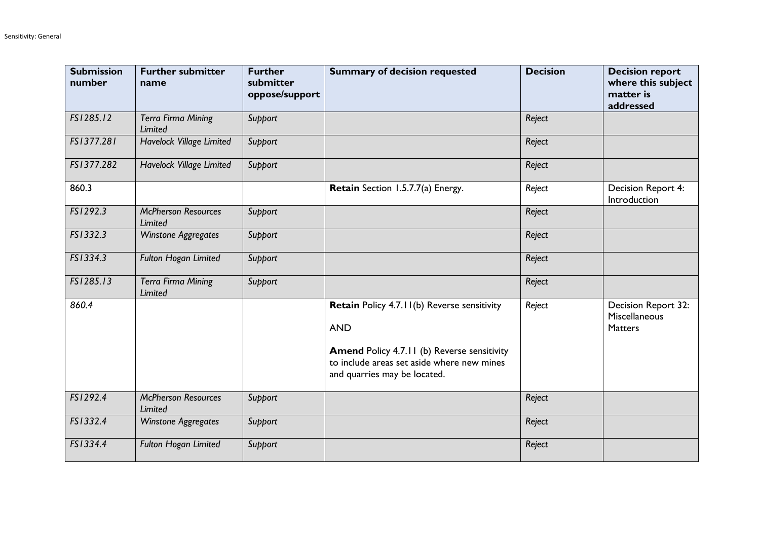| <b>Submission</b><br>number | <b>Further submitter</b><br>name             | <b>Further</b><br>submitter<br>oppose/support | <b>Summary of decision requested</b>                                                                                                                                                          | <b>Decision</b> | <b>Decision report</b><br>where this subject<br>matter is<br>addressed |
|-----------------------------|----------------------------------------------|-----------------------------------------------|-----------------------------------------------------------------------------------------------------------------------------------------------------------------------------------------------|-----------------|------------------------------------------------------------------------|
| FS1285.12                   | <b>Terra Firma Mining</b><br>Limited         | Support                                       |                                                                                                                                                                                               | Reject          |                                                                        |
| FS1377.281                  | Havelock Village Limited                     | Support                                       |                                                                                                                                                                                               | Reject          |                                                                        |
| FS1377.282                  | Havelock Village Limited                     | Support                                       |                                                                                                                                                                                               | Reject          |                                                                        |
| 860.3                       |                                              |                                               | Retain Section 1.5.7.7(a) Energy.                                                                                                                                                             | Reject          | Decision Report 4:<br>Introduction                                     |
| FS1292.3                    | <b>McPherson Resources</b><br><b>Limited</b> | Support                                       |                                                                                                                                                                                               | Reject          |                                                                        |
| FS1332.3                    | <b>Winstone Aggregates</b>                   | Support                                       |                                                                                                                                                                                               | Reject          |                                                                        |
| FS1334.3                    | <b>Fulton Hogan Limited</b>                  | Support                                       |                                                                                                                                                                                               | Reject          |                                                                        |
| FS1285.13                   | <b>Terra Firma Mining</b><br><b>Limited</b>  | Support                                       |                                                                                                                                                                                               | Reject          |                                                                        |
| 860.4                       |                                              |                                               | Retain Policy 4.7.11(b) Reverse sensitivity<br><b>AND</b><br><b>Amend Policy 4.7.11 (b) Reverse sensitivity</b><br>to include areas set aside where new mines<br>and quarries may be located. | Reject          | Decision Report 32:<br>Miscellaneous<br>Matters                        |
| FS1292.4                    | <b>McPherson Resources</b><br>Limited        | Support                                       |                                                                                                                                                                                               | Reject          |                                                                        |
| FS1332.4                    | <b>Winstone Aggregates</b>                   | Support                                       |                                                                                                                                                                                               | Reject          |                                                                        |
| FS1334.4                    | <b>Fulton Hogan Limited</b>                  | Support                                       |                                                                                                                                                                                               | Reject          |                                                                        |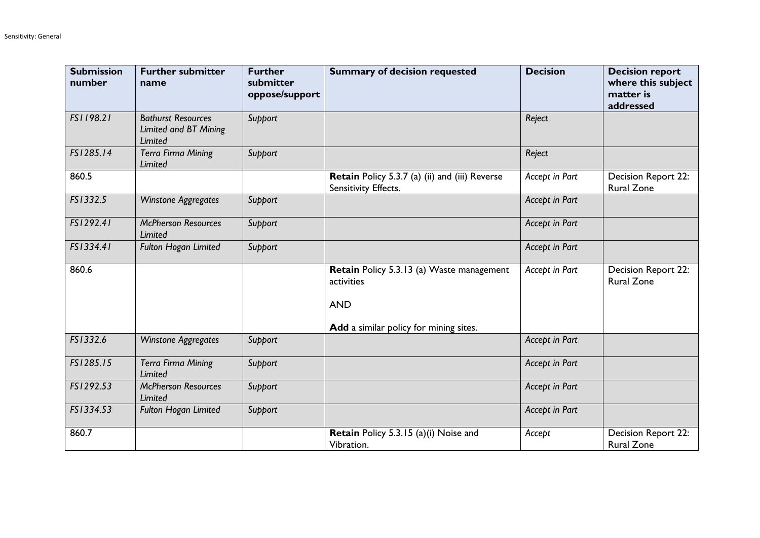| <b>Submission</b><br>number | <b>Further submitter</b><br>name                                     | <b>Further</b><br>submitter<br>oppose/support | <b>Summary of decision requested</b>                                   | <b>Decision</b> | <b>Decision report</b><br>where this subject<br>matter is<br>addressed |
|-----------------------------|----------------------------------------------------------------------|-----------------------------------------------|------------------------------------------------------------------------|-----------------|------------------------------------------------------------------------|
| FS1198.21                   | <b>Bathurst Resources</b><br>Limited and BT Mining<br><b>Limited</b> | Support                                       |                                                                        | Reject          |                                                                        |
| FS1285.14                   | <b>Terra Firma Mining</b><br><b>Limited</b>                          | Support                                       |                                                                        | Reject          |                                                                        |
| 860.5                       |                                                                      |                                               | Retain Policy 5.3.7 (a) (ii) and (iii) Reverse<br>Sensitivity Effects. | Accept in Part  | <b>Decision Report 22:</b><br><b>Rural Zone</b>                        |
| FS1332.5                    | <b>Winstone Aggregates</b>                                           | Support                                       |                                                                        | Accept in Part  |                                                                        |
| FS1292.41                   | <b>McPherson Resources</b><br><b>Limited</b>                         | Support                                       |                                                                        | Accept in Part  |                                                                        |
| FS1334.41                   | <b>Fulton Hogan Limited</b>                                          | Support                                       |                                                                        | Accept in Part  |                                                                        |
| 860.6                       |                                                                      |                                               | Retain Policy 5.3.13 (a) Waste management<br>activities<br><b>AND</b>  | Accept in Part  | Decision Report 22:<br><b>Rural Zone</b>                               |
|                             |                                                                      |                                               | Add a similar policy for mining sites.                                 |                 |                                                                        |
| FS1332.6                    | <b>Winstone Aggregates</b>                                           | Support                                       |                                                                        | Accept in Part  |                                                                        |
| FS1285.15                   | <b>Terra Firma Mining</b><br><b>Limited</b>                          | Support                                       |                                                                        | Accept in Part  |                                                                        |
| FS1292.53                   | <b>McPherson Resources</b><br><b>Limited</b>                         | Support                                       |                                                                        | Accept in Part  |                                                                        |
| FS1334.53                   | <b>Fulton Hogan Limited</b>                                          | Support                                       |                                                                        | Accept in Part  |                                                                        |
| 860.7                       |                                                                      |                                               | <b>Retain</b> Policy 5.3.15 (a)(i) Noise and<br>Vibration.             | Accept          | <b>Decision Report 22:</b><br><b>Rural Zone</b>                        |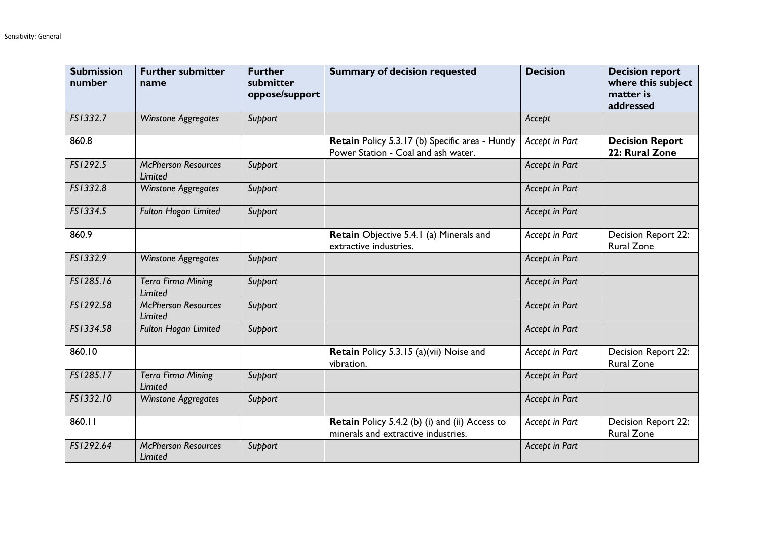| <b>Submission</b><br>number | <b>Further submitter</b><br>name             | <b>Further</b><br>submitter<br>oppose/support | <b>Summary of decision requested</b>                                                   | <b>Decision</b> | <b>Decision report</b><br>where this subject<br>matter is<br>addressed |
|-----------------------------|----------------------------------------------|-----------------------------------------------|----------------------------------------------------------------------------------------|-----------------|------------------------------------------------------------------------|
| FS1332.7                    | <b>Winstone Aggregates</b>                   | Support                                       |                                                                                        | Accept          |                                                                        |
| 860.8                       |                                              |                                               | Retain Policy 5.3.17 (b) Specific area - Huntly<br>Power Station - Coal and ash water. | Accept in Part  | <b>Decision Report</b><br>22: Rural Zone                               |
| FS1292.5                    | <b>McPherson Resources</b><br><b>Limited</b> | Support                                       |                                                                                        | Accept in Part  |                                                                        |
| FS1332.8                    | <b>Winstone Aggregates</b>                   | Support                                       |                                                                                        | Accept in Part  |                                                                        |
| FS1334.5                    | <b>Fulton Hogan Limited</b>                  | Support                                       |                                                                                        | Accept in Part  |                                                                        |
| 860.9                       |                                              |                                               | Retain Objective 5.4.1 (a) Minerals and<br>extractive industries.                      | Accept in Part  | Decision Report 22:<br><b>Rural Zone</b>                               |
| FS1332.9                    | <b>Winstone Aggregates</b>                   | Support                                       |                                                                                        | Accept in Part  |                                                                        |
| FS1285.16                   | <b>Terra Firma Mining</b><br><b>Limited</b>  | Support                                       |                                                                                        | Accept in Part  |                                                                        |
| FS1292.58                   | <b>McPherson Resources</b><br><b>Limited</b> | Support                                       |                                                                                        | Accept in Part  |                                                                        |
| FS1334.58                   | <b>Fulton Hogan Limited</b>                  | Support                                       |                                                                                        | Accept in Part  |                                                                        |
| 860.10                      |                                              |                                               | Retain Policy 5.3.15 (a)(vii) Noise and<br>vibration.                                  | Accept in Part  | Decision Report 22:<br><b>Rural Zone</b>                               |
| FS1285.17                   | <b>Terra Firma Mining</b><br>Limited         | Support                                       |                                                                                        | Accept in Part  |                                                                        |
| FS1332.10                   | <b>Winstone Aggregates</b>                   | Support                                       |                                                                                        | Accept in Part  |                                                                        |
| 860.11                      |                                              |                                               | Retain Policy 5.4.2 (b) (i) and (ii) Access to<br>minerals and extractive industries.  | Accept in Part  | Decision Report 22:<br><b>Rural Zone</b>                               |
| FS1292.64                   | <b>McPherson Resources</b><br>Limited        | Support                                       |                                                                                        | Accept in Part  |                                                                        |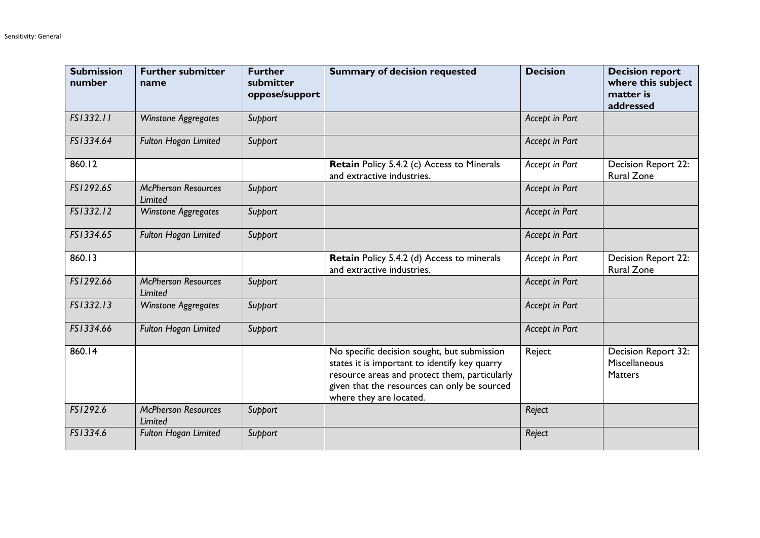| <b>Submission</b><br>number | <b>Further submitter</b><br>name      | <b>Further</b><br>submitter<br>oppose/support | <b>Summary of decision requested</b>                                                                                                                                                                                     | <b>Decision</b> | <b>Decision report</b><br>where this subject<br>matter is<br>addressed |
|-----------------------------|---------------------------------------|-----------------------------------------------|--------------------------------------------------------------------------------------------------------------------------------------------------------------------------------------------------------------------------|-----------------|------------------------------------------------------------------------|
| FS1332.11                   | <b>Winstone Aggregates</b>            | Support                                       |                                                                                                                                                                                                                          | Accept in Part  |                                                                        |
| FS1334.64                   | Fulton Hogan Limited                  | Support                                       |                                                                                                                                                                                                                          | Accept in Part  |                                                                        |
| 860.12                      |                                       |                                               | Retain Policy 5.4.2 (c) Access to Minerals<br>and extractive industries.                                                                                                                                                 | Accept in Part  | Decision Report 22:<br><b>Rural Zone</b>                               |
| FS1292.65                   | <b>McPherson Resources</b><br>Limited | Support                                       |                                                                                                                                                                                                                          | Accept in Part  |                                                                        |
| FS1332.12                   | Winstone Aggregates                   | Support                                       |                                                                                                                                                                                                                          | Accept in Part  |                                                                        |
| FS1334.65                   | <b>Fulton Hogan Limited</b>           | Support                                       |                                                                                                                                                                                                                          | Accept in Part  |                                                                        |
| 860.13                      |                                       |                                               | Retain Policy 5.4.2 (d) Access to minerals<br>and extractive industries.                                                                                                                                                 | Accept in Part  | <b>Decision Report 22:</b><br><b>Rural Zone</b>                        |
| FS1292.66                   | <b>McPherson Resources</b><br>Limited | Support                                       |                                                                                                                                                                                                                          | Accept in Part  |                                                                        |
| FS1332.13                   | <b>Winstone Aggregates</b>            | Support                                       |                                                                                                                                                                                                                          | Accept in Part  |                                                                        |
| FS1334.66                   | <b>Fulton Hogan Limited</b>           | Support                                       |                                                                                                                                                                                                                          | Accept in Part  |                                                                        |
| 860.14                      |                                       |                                               | No specific decision sought, but submission<br>states it is important to identify key quarry<br>resource areas and protect them, particularly<br>given that the resources can only be sourced<br>where they are located. | Reject          | Decision Report 32:<br>Miscellaneous<br><b>Matters</b>                 |
| FS1292.6                    | <b>McPherson Resources</b><br>Limited | Support                                       |                                                                                                                                                                                                                          | Reject          |                                                                        |
| FS1334.6                    | <b>Fulton Hogan Limited</b>           | Support                                       |                                                                                                                                                                                                                          | Reject          |                                                                        |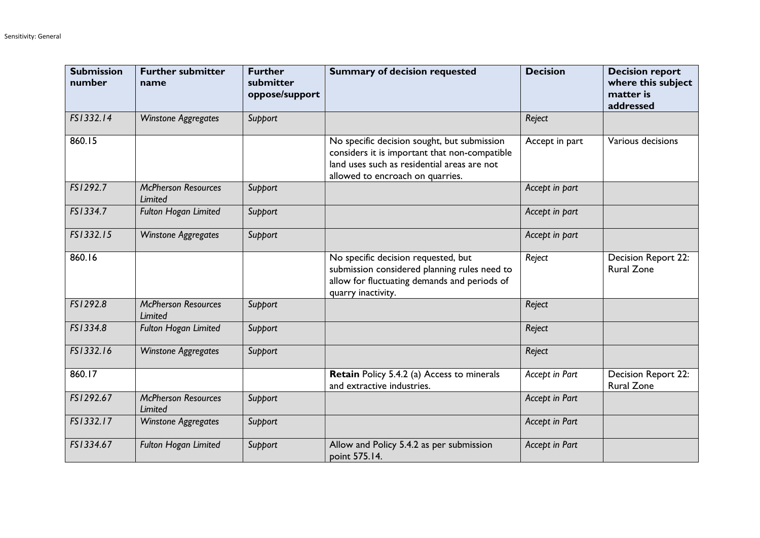| <b>Submission</b><br>number | <b>Further submitter</b><br>name      | <b>Further</b><br>submitter<br>oppose/support | <b>Summary of decision requested</b>                                                                                                                                            | <b>Decision</b> | <b>Decision report</b><br>where this subject<br>matter is<br>addressed |
|-----------------------------|---------------------------------------|-----------------------------------------------|---------------------------------------------------------------------------------------------------------------------------------------------------------------------------------|-----------------|------------------------------------------------------------------------|
| FS1332.14                   | <b>Winstone Aggregates</b>            | Support                                       |                                                                                                                                                                                 | Reject          |                                                                        |
| 860.15                      |                                       |                                               | No specific decision sought, but submission<br>considers it is important that non-compatible<br>land uses such as residential areas are not<br>allowed to encroach on quarries. | Accept in part  | Various decisions                                                      |
| FS1292.7                    | <b>McPherson Resources</b><br>Limited | Support                                       |                                                                                                                                                                                 | Accept in part  |                                                                        |
| FS1334.7                    | Fulton Hogan Limited                  | Support                                       |                                                                                                                                                                                 | Accept in part  |                                                                        |
| FS1332.15                   | <b>Winstone Aggregates</b>            | Support                                       |                                                                                                                                                                                 | Accept in part  |                                                                        |
| 860.16                      |                                       |                                               | No specific decision requested, but<br>submission considered planning rules need to<br>allow for fluctuating demands and periods of<br>quarry inactivity.                       | Reject          | Decision Report 22:<br><b>Rural Zone</b>                               |
| FS1292.8                    | <b>McPherson Resources</b><br>Limited | Support                                       |                                                                                                                                                                                 | Reject          |                                                                        |
| FS1334.8                    | Fulton Hogan Limited                  | Support                                       |                                                                                                                                                                                 | Reject          |                                                                        |
| FS1332.16                   | <b>Winstone Aggregates</b>            | Support                                       |                                                                                                                                                                                 | Reject          |                                                                        |
| 860.17                      |                                       |                                               | <b>Retain Policy 5.4.2 (a) Access to minerals</b><br>and extractive industries.                                                                                                 | Accept in Part  | Decision Report 22:<br><b>Rural Zone</b>                               |
| FS1292.67                   | <b>McPherson Resources</b><br>Limited | Support                                       |                                                                                                                                                                                 | Accept in Part  |                                                                        |
| FS1332.17                   | <b>Winstone Aggregates</b>            | Support                                       |                                                                                                                                                                                 | Accept in Part  |                                                                        |
| FS1334.67                   | Fulton Hogan Limited                  | Support                                       | Allow and Policy 5.4.2 as per submission<br>point 575.14.                                                                                                                       | Accept in Part  |                                                                        |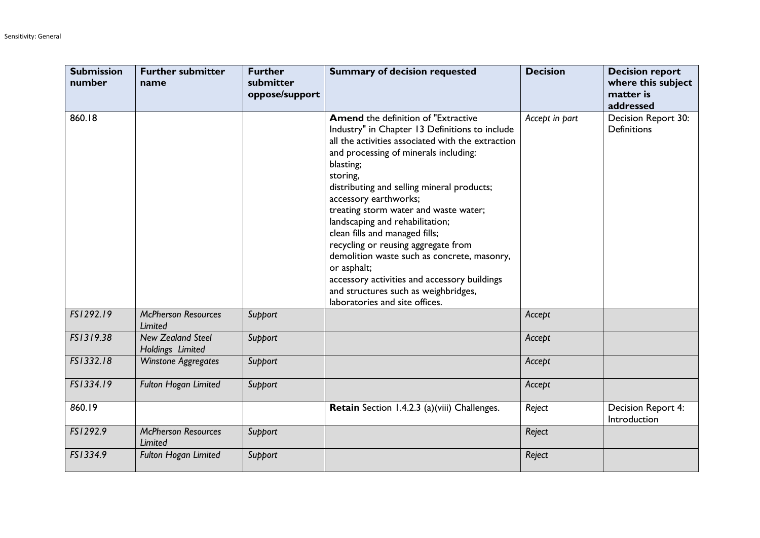| <b>Submission</b><br>number | <b>Further submitter</b><br>name             | <b>Further</b><br>submitter<br>oppose/support | <b>Summary of decision requested</b>                                                                                                                                                                                                                                                                                                                                                                                                                                                                                                                                                                                                    | <b>Decision</b> | <b>Decision report</b><br>where this subject<br>matter is<br>addressed |
|-----------------------------|----------------------------------------------|-----------------------------------------------|-----------------------------------------------------------------------------------------------------------------------------------------------------------------------------------------------------------------------------------------------------------------------------------------------------------------------------------------------------------------------------------------------------------------------------------------------------------------------------------------------------------------------------------------------------------------------------------------------------------------------------------------|-----------------|------------------------------------------------------------------------|
| 860.18                      |                                              |                                               | <b>Amend</b> the definition of "Extractive<br>Industry" in Chapter 13 Definitions to include<br>all the activities associated with the extraction<br>and processing of minerals including:<br>blasting;<br>storing,<br>distributing and selling mineral products;<br>accessory earthworks;<br>treating storm water and waste water;<br>landscaping and rehabilitation;<br>clean fills and managed fills;<br>recycling or reusing aggregate from<br>demolition waste such as concrete, masonry,<br>or asphalt;<br>accessory activities and accessory buildings<br>and structures such as weighbridges,<br>laboratories and site offices. | Accept in part  | Decision Report 30:<br><b>Definitions</b>                              |
| FS1292.19                   | <b>McPherson Resources</b><br>Limited        | Support                                       |                                                                                                                                                                                                                                                                                                                                                                                                                                                                                                                                                                                                                                         | Accept          |                                                                        |
| FS1319.38                   | <b>New Zealand Steel</b><br>Holdings Limited | Support                                       |                                                                                                                                                                                                                                                                                                                                                                                                                                                                                                                                                                                                                                         | Accept          |                                                                        |
| FS1332.18                   | <b>Winstone Aggregates</b>                   | Support                                       |                                                                                                                                                                                                                                                                                                                                                                                                                                                                                                                                                                                                                                         | Accept          |                                                                        |
| FS1334.19                   | <b>Fulton Hogan Limited</b>                  | Support                                       |                                                                                                                                                                                                                                                                                                                                                                                                                                                                                                                                                                                                                                         | Accept          |                                                                        |
| 860.19                      |                                              |                                               | Retain Section 1.4.2.3 (a)(viii) Challenges.                                                                                                                                                                                                                                                                                                                                                                                                                                                                                                                                                                                            | Reject          | Decision Report 4:<br>Introduction                                     |
| FS1292.9                    | <b>McPherson Resources</b><br>Limited        | Support                                       |                                                                                                                                                                                                                                                                                                                                                                                                                                                                                                                                                                                                                                         | Reject          |                                                                        |
| FS1334.9                    | <b>Fulton Hogan Limited</b>                  | Support                                       |                                                                                                                                                                                                                                                                                                                                                                                                                                                                                                                                                                                                                                         | Reject          |                                                                        |